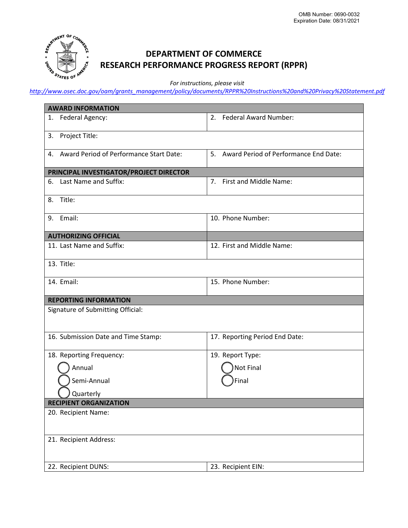

## **DEPARTMENT OF COMMERCE RESEARCH PERFORMANCE PROGRESS REPORT (RPPR)**

*For instructions, please visit* 

*http://www.os[ec.doc.gov/oam/grants\\_management/policy/documents/RPPR%20Instructions%20and%20Privacy%](http://www.osec.doc.gov/oam/grants_management/policy/documents/RPPR%20Instructions%20and%20Privacy%20Statement.pdf)20Statement.pdf*

| <b>AWARD INFORMATION</b>                   |                                          |
|--------------------------------------------|------------------------------------------|
| 1. Federal Agency:                         | 2.<br><b>Federal Award Number:</b>       |
| Project Title:<br>3.                       |                                          |
| 4. Award Period of Performance Start Date: | 5. Award Period of Performance End Date: |
| PRINCIPAL INVESTIGATOR/PROJECT DIRECTOR    |                                          |
| Last Name and Suffix:<br>6.                | First and Middle Name:<br>7.             |
| Title:<br>8.                               |                                          |
| 9. Email:                                  | 10. Phone Number:                        |
| <b>AUTHORIZING OFFICIAL</b>                |                                          |
| 11. Last Name and Suffix:                  | 12. First and Middle Name:               |
| 13. Title:                                 |                                          |
| 14. Email:                                 | 15. Phone Number:                        |
| <b>REPORTING INFORMATION</b>               |                                          |
| Signature of Submitting Official:          |                                          |
| 16. Submission Date and Time Stamp:        | 17. Reporting Period End Date:           |
| 18. Reporting Frequency:                   | 19. Report Type:                         |
| Annual                                     | Not Final                                |
| Semi-Annual                                | Final                                    |
| Quarterly                                  |                                          |
| <b>RECIPIENT ORGANIZATION</b>              |                                          |
| 20. Recipient Name:                        |                                          |
| 21. Recipient Address:                     |                                          |
| 22. Recipient DUNS:                        | 23. Recipient EIN:                       |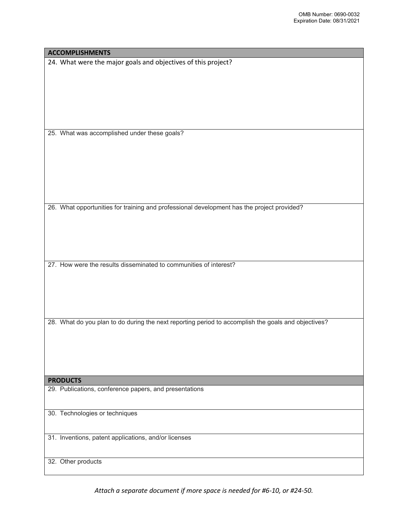| 25. What was accomplished under these goals?                                                        |
|-----------------------------------------------------------------------------------------------------|
|                                                                                                     |
|                                                                                                     |
|                                                                                                     |
|                                                                                                     |
| 26. What opportunities for training and professional development has the project provided?          |
|                                                                                                     |
|                                                                                                     |
|                                                                                                     |
|                                                                                                     |
| 27. How were the results disseminated to communities of interest?                                   |
|                                                                                                     |
|                                                                                                     |
|                                                                                                     |
| 28. What do you plan to do during the next reporting period to accomplish the goals and objectives? |
|                                                                                                     |
|                                                                                                     |
|                                                                                                     |
|                                                                                                     |
| <b>PRODUCTS</b>                                                                                     |
| 29. Publications, conference papers, and presentations                                              |
| 30. Technologies or techniques                                                                      |
|                                                                                                     |
| 31. Inventions, patent applications, and/or licenses                                                |
|                                                                                                     |
| 32. Other products                                                                                  |
|                                                                                                     |

**ACCOMPLISHMENTS**

24. What were the major goals and objectives of this project?

*Attach a separate document if more space is needed for #6-10, or #24-50.*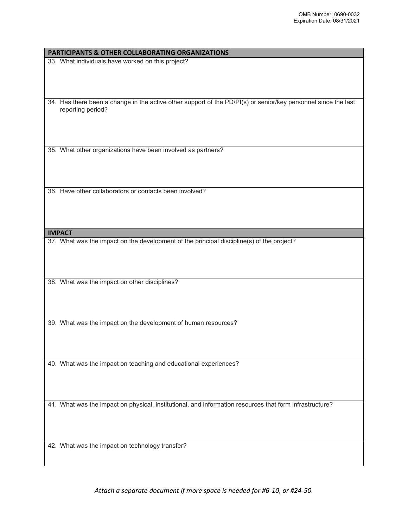## **PARTICIPANTS & OTHER COLLABORATING ORGANIZATIONS**

33. What individuals have worked on this project?

34. Has there been a change in the active other support of the PD/PI(s) or senior/key personnel since the last reporting period?

35. What other organizations have been involved as partners?

36. Have other collaborators or contacts been involved?

**IMPACT**

37. What was the impact on the development of the principal discipline(s) of the project?

38. What was the impact on other disciplines?

39. What was the impact on the development of human resources?

40. What was the impact on teaching and educational experiences?

41. What was the impact on physical, institutional, and information resources that form infrastructure?

42. What was the impact on technology transfer?

*Attach a separate document if more space is needed for #6-10, or #24-50.*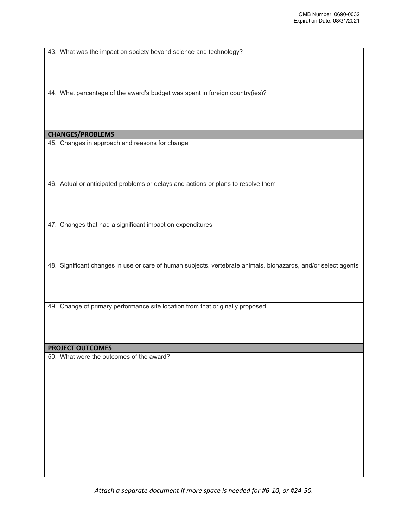43. What was the impact on society beyond science and technology?

44. What percentage of the award's budget was spent in foreign country(ies)?

## **CHANGES/PROBLEMS**

45. Changes in approach and reasons for change

46. Actual or anticipated problems or delays and actions or plans to resolve them

47. Changes that had a significant impact on expenditures

48. Significant changes in use or care of human subjects, vertebrate animals, biohazards, and/or select agents

49. Change of primary performance site location from that originally proposed

## **PROJECT OUTCOMES**

50. What were the outcomes of the award?